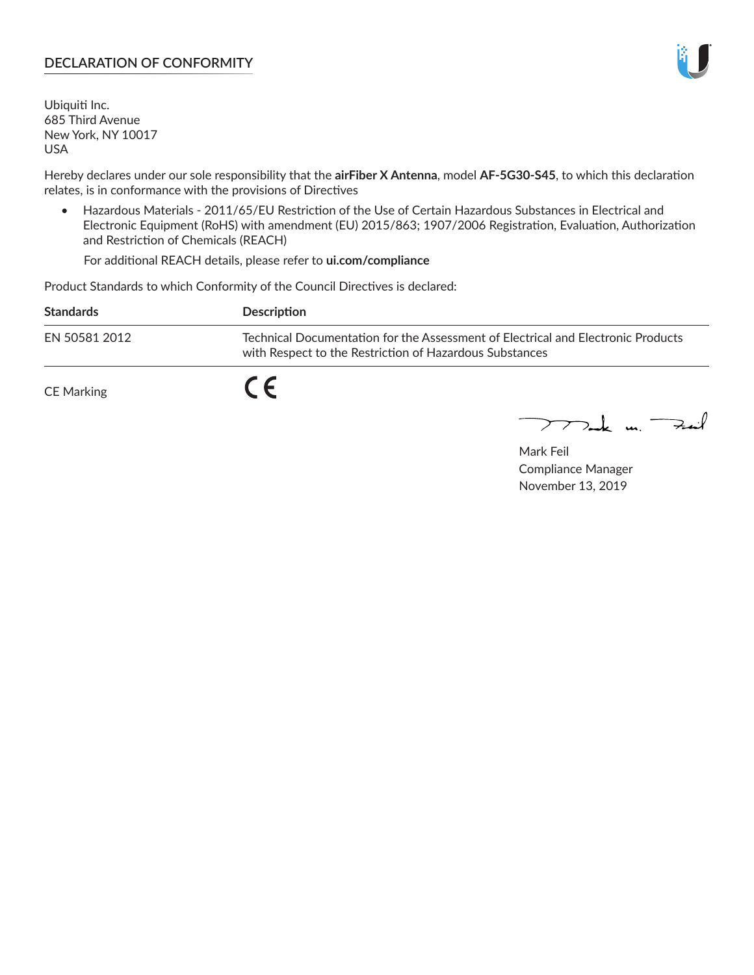#### **DECLARATION OF CONFORMITY**

Ubiquiti Inc. 685 Third Avenue New York, NY 10017 USA

Hereby declares under our sole responsibility that the **airFiber X Antenna**, model **AF-5G30-S45**, to which this declaration relates, is in conformance with the provisions of Directives

• Hazardous Materials - 2011/65/EU Restriction of the Use of Certain Hazardous Substances in Electrical and Electronic Equipment (RoHS) with amendment (EU) 2015/863; 1907/2006 Registration, Evaluation, Authorization and Restriction of Chemicals (REACH)

For additional REACH details, please refer to **ui.com/compliance**

Product Standards to which Conformity of the Council Directives is declared:

| <b>Standards</b> | <b>Description</b>                                                                                                                          |
|------------------|---------------------------------------------------------------------------------------------------------------------------------------------|
| EN 50581 2012    | Technical Documentation for the Assessment of Electrical and Electronic Products<br>with Respect to the Restriction of Hazardous Substances |
| CE Marking       |                                                                                                                                             |

 $\sum_{n=1}^{\infty}$  un  $\sum_{n=1}^{\infty}$ 

Mark Feil Compliance Manager November 13, 2019

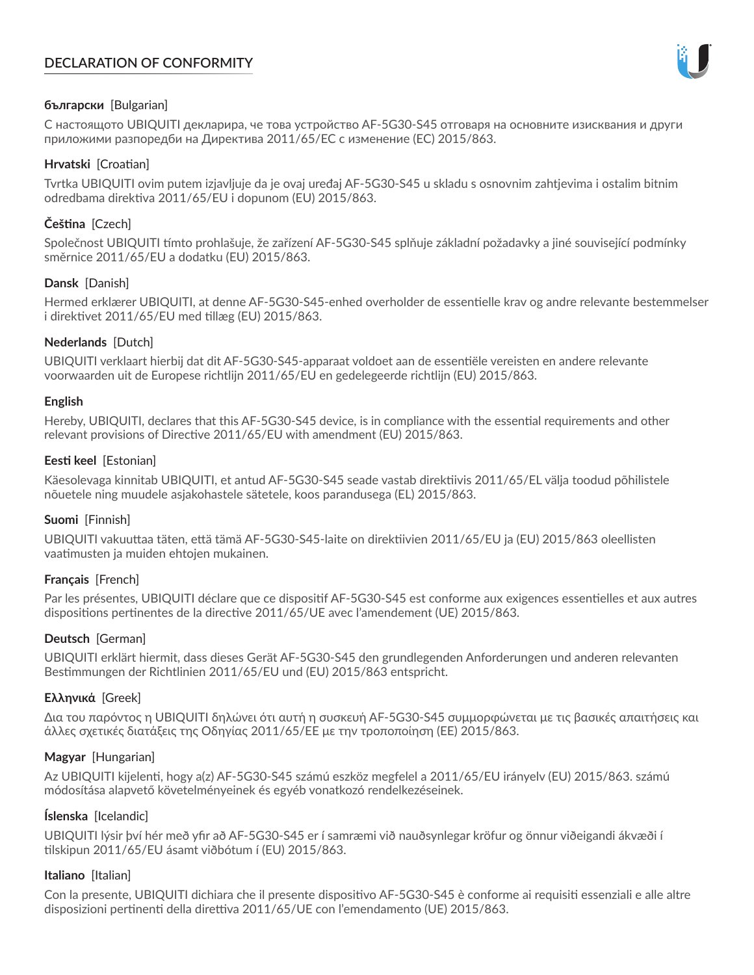# **DECLARATION OF CONFORMITY**



## **български** [Bulgarian]

С настоящото UBIQUITI декларира, че това устройство AF-5G30-S45 отговаря на основните изисквания и други приложими разпоредби на Директива 2011/65/ЕС с изменение (ЕС) 2015/863.

# **Hrvatski** [Croatian]

Tvrtka UBIQUITI ovim putem izjavljuje da je ovaj uređaj AF-5G30-S45 u skladu s osnovnim zahtjevima i ostalim bitnim odredbama direktiva 2011/65/EU i dopunom (EU) 2015/863.

# **Čeština** [Czech]

Společnost UBIQUITI tímto prohlašuje, že zařízení AF-5G30-S45 splňuje základní požadavky a jiné související podmínky směrnice 2011/65/EU a dodatku (EU) 2015/863.

## **Dansk** [Danish]

Hermed erklærer UBIQUITI, at denne AF-5G30-S45-enhed overholder de essentielle krav og andre relevante bestemmelser i direktivet 2011/65/EU med tillæg (EU) 2015/863.

## **Nederlands** [Dutch]

UBIQUITI verklaart hierbij dat dit AF-5G30-S45-apparaat voldoet aan de essentiële vereisten en andere relevante voorwaarden uit de Europese richtlijn 2011/65/EU en gedelegeerde richtlijn (EU) 2015/863.

#### **English**

Hereby, UBIQUITI, declares that this AF-5G30-S45 device, is in compliance with the essential requirements and other relevant provisions of Directive 2011/65/EU with amendment (EU) 2015/863.

## **Eesti keel** [Estonian]

Käesolevaga kinnitab UBIQUITI, et antud AF-5G30-S45 seade vastab direktiivis 2011/65/EL välja toodud põhilistele nõuetele ning muudele asjakohastele sätetele, koos parandusega (EL) 2015/863.

## **Suomi** [Finnish]

UBIQUITI vakuuttaa täten, että tämä AF-5G30-S45-laite on direktiivien 2011/65/EU ja (EU) 2015/863 oleellisten vaatimusten ja muiden ehtojen mukainen.

## **Français** [French]

Par les présentes, UBIQUITI déclare que ce dispositif AF-5G30-S45 est conforme aux exigences essentielles et aux autres dispositions pertinentes de la directive 2011/65/UE avec l'amendement (UE) 2015/863.

## **Deutsch** [German]

UBIQUITI erklärt hiermit, dass dieses Gerät AF-5G30-S45 den grundlegenden Anforderungen und anderen relevanten Bestimmungen der Richtlinien 2011/65/EU und (EU) 2015/863 entspricht.

## **Ελληνικά** [Greek]

Δια του παρόντος η UBIQUITI δηλώνει ότι αυτή η συσκευή AF-5G30-S45 συμμορφώνεται με τις βασικές απαιτήσεις και άλλες σχετικές διατάξεις της Οδηγίας 2011/65/ΕΕ με την τροποποίηση (ΕΕ) 2015/863.

## **Magyar** [Hungarian]

Az UBIQUITI kijelenti, hogy a(z) AF-5G30-S45 számú eszköz megfelel a 2011/65/EU irányelv (EU) 2015/863. számú módosítása alapvető követelményeinek és egyéb vonatkozó rendelkezéseinek.

## **Íslenska** [Icelandic]

UBIQUITI lýsir því hér með yfir að AF-5G30-S45 er í samræmi við nauðsynlegar kröfur og önnur viðeigandi ákvæði í tilskipun 2011/65/EU ásamt viðbótum í (EU) 2015/863.

## **Italiano** [Italian]

Con la presente, UBIQUITI dichiara che il presente dispositivo AF-5G30-S45 è conforme ai requisiti essenziali e alle altre disposizioni pertinenti della direttiva 2011/65/UE con l'emendamento (UE) 2015/863.